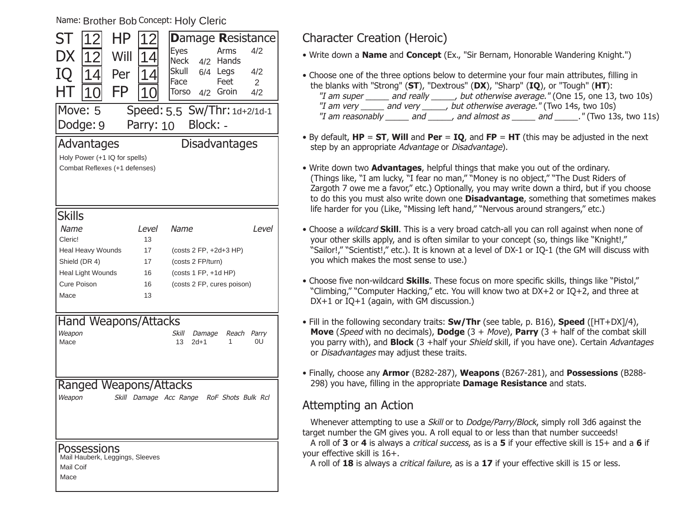Name: Brother Bob Concept: Holy Cleric

| ST                                                     |                                           | ΗP                                                             |                             |                   | <b>Damage Resistance</b>     |       |  |
|--------------------------------------------------------|-------------------------------------------|----------------------------------------------------------------|-----------------------------|-------------------|------------------------------|-------|--|
| DX                                                     |                                           | Will                                                           |                             | Eyes              | Arms                         | 4/2   |  |
|                                                        |                                           |                                                                |                             | <b>Neck</b>       | Hands<br>4/2                 |       |  |
| IQ                                                     | Δ                                         | Per                                                            | Δ                           | Skull             | 6/4<br>Legs                  | 4/2   |  |
|                                                        |                                           | FP                                                             |                             | Face              | Feet                         | 2     |  |
| HΤ                                                     |                                           |                                                                |                             | Torso             | Groin<br>4/2                 | 4/2   |  |
| Move: 5                                                |                                           |                                                                |                             |                   | Speed: 5.5 Sw/Thr: 1d+2/1d-1 |       |  |
| Block: -<br>Dodge: 9<br>Parry: 10                      |                                           |                                                                |                             |                   |                              |       |  |
|                                                        | <b>Advantages</b><br><b>Disadvantages</b> |                                                                |                             |                   |                              |       |  |
|                                                        |                                           |                                                                |                             |                   |                              |       |  |
|                                                        |                                           | Holy Power (+1 IQ for spells)<br>Combat Reflexes (+1 defenses) |                             |                   |                              |       |  |
|                                                        |                                           |                                                                |                             |                   |                              |       |  |
|                                                        |                                           |                                                                |                             |                   |                              |       |  |
|                                                        |                                           |                                                                |                             |                   |                              |       |  |
| Skills                                                 |                                           |                                                                |                             |                   |                              |       |  |
| Name                                                   |                                           |                                                                | Level                       | Name              |                              | Level |  |
| Cleric!                                                |                                           |                                                                | 13                          |                   |                              |       |  |
|                                                        | Heal Heavy Wounds                         |                                                                |                             |                   | (costs 2 FP, +2d+3 HP)       |       |  |
| Shield (DR 4)                                          |                                           |                                                                | 17                          | (costs 2 FP/turn) |                              |       |  |
|                                                        | Heal Light Wounds                         |                                                                |                             |                   | (costs 1 FP, +1d HP)         |       |  |
|                                                        | Cure Poison                               |                                                                |                             |                   | (costs 2 FP, cures poison)   |       |  |
| Mace                                                   |                                           |                                                                | 13                          |                   |                              |       |  |
|                                                        |                                           |                                                                |                             |                   |                              |       |  |
|                                                        |                                           |                                                                | <b>Hand Weapons/Attacks</b> |                   |                              |       |  |
| Weapon                                                 |                                           |                                                                |                             | Skill             | Damage<br>Reach              | Parry |  |
| Mace                                                   |                                           |                                                                |                             | 13<br>$2d+1$      | 1                            | 0U    |  |
|                                                        |                                           |                                                                |                             |                   |                              |       |  |
|                                                        |                                           |                                                                |                             |                   |                              |       |  |
| Ranged Weapons/Attacks                                 |                                           |                                                                |                             |                   |                              |       |  |
| Weapon<br>Skill Damage Acc Range<br>RoF Shots Bulk Rcl |                                           |                                                                |                             |                   |                              |       |  |
|                                                        |                                           |                                                                |                             |                   |                              |       |  |
|                                                        |                                           |                                                                |                             |                   |                              |       |  |
|                                                        |                                           |                                                                |                             |                   |                              |       |  |
|                                                        |                                           |                                                                |                             |                   |                              |       |  |
|                                                        | Possessions                               | Mail Hauberk, Leggings, Sleeves                                |                             |                   |                              |       |  |
| Mail Coif                                              |                                           |                                                                |                             |                   |                              |       |  |
| Mace                                                   |                                           |                                                                |                             |                   |                              |       |  |

## Character Creation (Heroic)

• Write down a **Name** and **Concept** (Ex., "Sir Bernam, Honorable Wandering Knight.")

- Choose one of the three options below to determine your four main attributes, filling in the blanks with "Strong" (**ST**), "Dextrous" (**DX**), "Sharp" (**IQ**), or "Tough" (**HT**): "I am super \_\_\_\_\_ and really \_\_\_\_\_, but otherwise average." (One 15, one 13, two 10s) "I am very \_\_\_\_\_\_ and very \_\_\_\_\_\_, but otherwise average." (Two 14s, two 10s) "I am reasonably \_\_\_\_\_\_ and \_\_\_\_\_\_, and almost as \_\_\_\_\_\_ and \_\_\_\_\_\_." (Two 13s, two 11s)
- By default, **HP** <sup>=</sup>**ST**, **Will** and **Per** <sup>=</sup>**IQ**, and **FP** <sup>=</sup>**HT** (this may be adjusted in the next step by an appropriate Advantage or Disadvantage).
- Write down two **Advantages**, helpful things that make you out of the ordinary. (Things like, "I am lucky, "I fear no man," "Money is no object," "The Dust Riders of Zargoth 7 owe me a favor," etc.) Optionally, you may write down a third, but if you choose to do this you must also write down one **Disadvantage**, something that sometimes makes life harder for you (Like, "Missing left hand," "Nervous around strangers," etc.)
- Choose a wildcard **Skill**. This is a very broad catch-all you can roll against when none of your other skills apply, and is often similar to your concept (so, things like "Knight!,"  "Sailor!," "Scientist!," etc.). It is known at a level of DX-1 or IO-1 (the GM will discuss with you which makes the most sense to use.)
- Choose five non-wildcard **Skills**. These focus on more specific skills, things like "Pistol," "Climbing," "Computer Hacking," etc. You will know two at DX+2 or IQ+2, and three at DX+1 or IQ+1 (again, with GM discussion.)
- Fill in the following secondary traits: **Sw/Thr** (see table, p. B16), **Speed** ([HT+DX]/4), **Move** (Speed with no decimals), **Dodge** (3 + Move), **Parry** (3 + half of the combat skill you parry with), and **Block** (3 +half your Shield skill, if you have one). Certain Advantages or Disadvantages may adjust these traits.
- Finally, choose any **Armor** (B282-287), **Weapons** (B267-281), and **Possessions** (B288- 298) you have, filling in the appropriate **Damage Resistance** and stats.

## Attempting an Action

Whenever attempting to use a *Skill* or to *Dodge/Parry/Block*, simply roll 3d6 against the target number the GM gives you. A roll equal to or less than that number succeeds!

A roll of **3** or **4** is always a critical success, as is a **5** if your effective skill is 15+ and a **6** if your effective skill is 16+.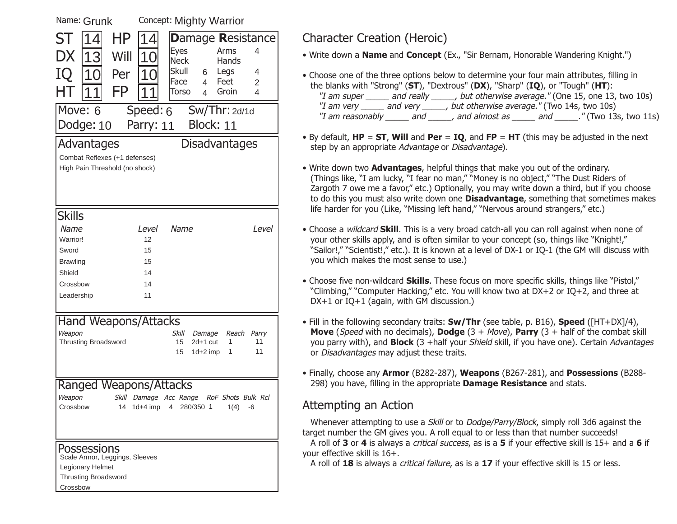| Concept: Mighty Warrior<br>Name: Grunk  |             |                      |                                           |                     |
|-----------------------------------------|-------------|----------------------|-------------------------------------------|---------------------|
| ST<br>ΗP<br>$\overline{\mathcal{A}}$    | 14          |                      | <b>Damage Resistance</b>                  |                     |
| DX<br>Will                              | 10          | <b>Eyes</b>          | Arms                                      | 4                   |
| 13                                      |             | <b>Neck</b>          | Hands                                     |                     |
| IQ<br>Per<br>1<br>O                     | 10          | <b>Skull</b><br>Face | Legs<br>6<br>Feet                         | 4                   |
| FP                                      |             | Torso                | $\overline{4}$<br>Groin<br>$\overline{4}$ | $\overline{2}$<br>4 |
|                                         |             |                      |                                           |                     |
| Move: 6                                 | Speed: 6    |                      | Sw/Thr: 2d/1d                             |                     |
| Dodge: 10                               | Parry: 11   |                      | Block: 11                                 |                     |
| Advantages                              |             |                      | <b>Disadvantages</b>                      |                     |
| Combat Reflexes (+1 defenses)           |             |                      |                                           |                     |
| High Pain Threshold (no shock)          |             |                      |                                           |                     |
|                                         |             |                      |                                           |                     |
|                                         |             |                      |                                           |                     |
| <b>Skills</b>                           |             |                      |                                           |                     |
| Name                                    |             | Name                 |                                           |                     |
| Warrior!                                | Level<br>12 |                      |                                           | Level               |
| Sword                                   | 15          |                      |                                           |                     |
| <b>Brawling</b>                         | 15          |                      |                                           |                     |
| Shield                                  | 14          |                      |                                           |                     |
| Crossbow                                | 14          |                      |                                           |                     |
| Leadership                              | 11          |                      |                                           |                     |
|                                         |             |                      |                                           |                     |
| Hand Weapons/Attacks                    |             |                      |                                           |                     |
| Weapon                                  |             | Skill                | Damage<br>Reach                           | Parry               |
| <b>Thrusting Broadsword</b>             |             | 15                   | $2d+1$ cut<br>1                           | 11                  |
|                                         |             | 15                   | $1d+2$ imp<br>1                           | 11                  |
|                                         |             |                      |                                           |                     |
| Ranged Weapons/Attacks                  |             |                      |                                           |                     |
| Weapon<br>Skill                         |             | Damage Acc Range     | RoF Shots Bulk Rcl                        |                     |
| Crossbow<br>14                          |             | 1d+4 imp 4 280/350 1 | 1(4)                                      | -6                  |
|                                         |             |                      |                                           |                     |
|                                         |             |                      |                                           |                     |
| Possessions                             |             |                      |                                           |                     |
| Scale Armor, Leggings, Sleeves          |             |                      |                                           |                     |
| Legionary Helmet                        |             |                      |                                           |                     |
| <b>Thrusting Broadsword</b><br>Crossbow |             |                      |                                           |                     |
|                                         |             |                      |                                           |                     |
|                                         |             |                      |                                           |                     |

 $Concent(Math, M)$ 

# Character Creation (Heroic)

• Write down a **Name** and **Concept** (Ex., "Sir Bernam, Honorable Wandering Knight.")

- Choose one of the three options below to determine your four main attributes, filling in the blanks with "Strong" (**ST**), "Dextrous" (**DX**), "Sharp" (**IQ**), or "Tough" (**HT**): "I am super \_\_\_\_\_ and really \_\_\_\_\_, but otherwise average." (One 15, one 13, two 10s) "I am very \_\_\_\_\_ and very \_\_\_\_\_, but otherwise average." (Two 14s, two 10s) "I am reasonably and  $\blacksquare$ , and almost as  $\blacksquare$  and  $\blacksquare$ . " (Two 13s, two 11s)
- By default, **HP** <sup>=</sup>**ST**, **Will** and **Per** <sup>=</sup>**IQ**, and **FP** <sup>=</sup>**HT** (this may be adjusted in the next step by an appropriate Advantage or Disadvantage).
- Write down two **Advantages**, helpful things that make you out of the ordinary. (Things like, "I am lucky, "I fear no man," "Money is no object," "The Dust Riders of Zargoth 7 owe me a favor," etc.) Optionally, you may write down a third, but if you choose to do this you must also write down one **Disadvantage**, something that sometimes makes life harder for you (Like, "Missing left hand," "Nervous around strangers," etc.)
- Choose a wildcard **Skill**. This is a very broad catch-all you can roll against when none of your other skills apply, and is often similar to your concept (so, things like "Knight!,"  "Sailor!," "Scientist!," etc.). It is known at a level of DX-1 or IO-1 (the GM will discuss with you which makes the most sense to use.)
- Choose five non-wildcard **Skills**. These focus on more specific skills, things like "Pistol," "Climbing," "Computer Hacking," etc. You will know two at DX+2 or IQ+2, and three at DX+1 or IQ+1 (again, with GM discussion.)
- Fill in the following secondary traits: **Sw/Thr** (see table, p. B16), **Speed** ([HT+DX]/4), **Move** (Speed with no decimals), **Dodge** (3 + Move), **Parry** (3 + half of the combat skill you parry with), and **Block** (3 +half your Shield skill, if you have one). Certain Advantages or Disadvantages may adjust these traits.
- Finally, choose any **Armor** (B282-287), **Weapons** (B267-281), and **Possessions** (B288- 298) you have, filling in the appropriate **Damage Resistance** and stats.

## Attempting an Action

Whenever attempting to use a *Skill* or to *Dodge/Parry/Block*, simply roll 3d6 against the target number the GM gives you. A roll equal to or less than that number succeeds!

A roll of **3** or **4** is always a critical success, as is a **5** if your effective skill is 15+ and a **6** if your effective skill is 16+.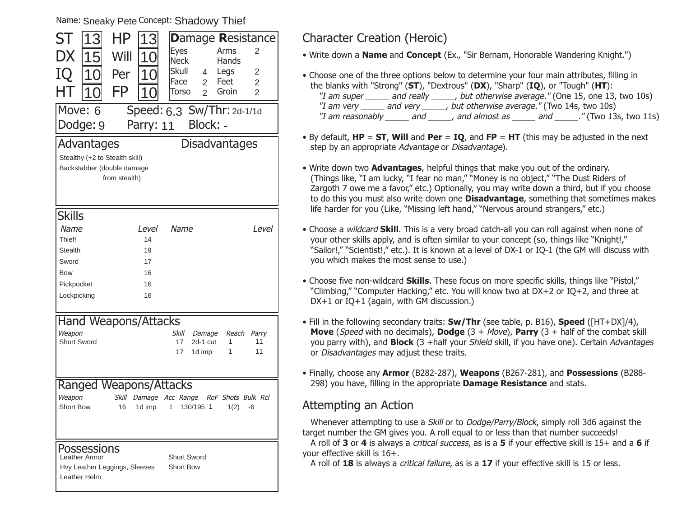Name: Sneaky Pete <sup>Concept:</sup> Shadowy Thief

| ST                                 | 13                                                              | ΗP                             | 3                 |                            |                |                    | <b>Damage Resistance</b> |
|------------------------------------|-----------------------------------------------------------------|--------------------------------|-------------------|----------------------------|----------------|--------------------|--------------------------|
| DX                                 | 15                                                              | Will                           | $\mathbf{\Omega}$ | <b>Eyes</b><br><b>Neck</b> |                | Arms<br>Hands      | 2                        |
|                                    |                                                                 |                                |                   | <b>Skull</b>               | 4              | Legs               | 2                        |
| IQ                                 | 10                                                              | Per                            |                   | Face                       | $\overline{2}$ | Feet               | $\overline{2}$           |
| HΤ                                 | 10                                                              | FP                             | 10                | Torso                      | $\overline{2}$ | Groin              | $\overline{2}$           |
| Move: 6                            |                                                                 |                                |                   |                            |                |                    |                          |
|                                    | Speed: 6.3 Sw/Thr: 2d-1/1d<br>Dodge: 9<br>Block: -<br>Parry: 11 |                                |                   |                            |                |                    |                          |
| <b>Disadvantages</b><br>Advantages |                                                                 |                                |                   |                            |                |                    |                          |
|                                    |                                                                 | Stealthy (+2 to Stealth skill) |                   |                            |                |                    |                          |
|                                    |                                                                 | Backstabber (double damage     |                   |                            |                |                    |                          |
|                                    |                                                                 | from stealth)                  |                   |                            |                |                    |                          |
|                                    |                                                                 |                                |                   |                            |                |                    |                          |
|                                    |                                                                 |                                |                   |                            |                |                    |                          |
| <b>Skills</b>                      |                                                                 |                                |                   |                            |                |                    |                          |
| Name<br>Thief!                     |                                                                 |                                | Level<br>14       | Name                       |                |                    | <i>Level</i>             |
| <b>Stealth</b>                     |                                                                 |                                | 19                |                            |                |                    |                          |
| Sword                              |                                                                 |                                |                   |                            |                |                    |                          |
|                                    |                                                                 |                                | 17<br>16          |                            |                |                    |                          |
| Bow                                |                                                                 |                                | 16                |                            |                |                    |                          |
| Pickpocket                         |                                                                 |                                | 16                |                            |                |                    |                          |
| Lockpicking                        |                                                                 |                                |                   |                            |                |                    |                          |
|                                    |                                                                 | Hand Weapons/Attacks           |                   |                            |                |                    |                          |
| Weapon                             |                                                                 |                                |                   | Skill                      | Damage         | Reach              | Parry                    |
| <b>Short Sword</b>                 |                                                                 |                                |                   | 17                         | 2d-1 cut       | 1                  | 11                       |
|                                    |                                                                 |                                |                   | 17                         | 1d imp         | 1                  | 11                       |
|                                    |                                                                 |                                |                   |                            |                |                    |                          |
|                                    |                                                                 |                                |                   |                            |                |                    |                          |
|                                    |                                                                 |                                |                   | Ranged Weapons/Attacks     |                |                    |                          |
| Weapon                             |                                                                 | Skill                          |                   | Damage Acc Range           |                | RoF Shots Bulk Rcl |                          |
| <b>Short Bow</b>                   |                                                                 | 16                             | 1d imp            | 1                          | 130/195 1      | 1(2)               | -6                       |
|                                    |                                                                 |                                |                   |                            |                |                    |                          |
|                                    |                                                                 |                                |                   |                            |                |                    |                          |
|                                    | Possessions                                                     |                                |                   |                            |                |                    |                          |
|                                    | Leather Armor                                                   |                                |                   | Short Sword                |                |                    |                          |
|                                    |                                                                 | Hvy Leather Leggings, Sleeves  |                   | Short Bow                  |                |                    |                          |
| Leather Helm                       |                                                                 |                                |                   |                            |                |                    |                          |

## Character Creation (Heroic)

• Write down a **Name** and **Concept** (Ex., "Sir Bernam, Honorable Wandering Knight.")

- Choose one of the three options below to determine your four main attributes, filling in the blanks with "Strong" (**ST**), "Dextrous" (**DX**), "Sharp" (**IQ**), or "Tough" (**HT**): "I am super \_\_\_\_\_ and really \_\_\_\_\_, but otherwise average." (One 15, one 13, two 10s) "I am very \_\_\_\_\_\_ and very \_\_\_\_\_\_, but otherwise average." (Two 14s, two 10s) "I am reasonably \_\_\_\_\_\_ and \_\_\_\_\_\_, and almost as \_\_\_\_\_\_ and \_\_\_\_\_\_." (Two 13s, two 11s)
- By default, **HP** <sup>=</sup>**ST**, **Will** and **Per** <sup>=</sup>**IQ**, and **FP** <sup>=</sup>**HT** (this may be adjusted in the next step by an appropriate Advantage or Disadvantage).
- Write down two **Advantages**, helpful things that make you out of the ordinary. (Things like, "I am lucky, "I fear no man," "Money is no object," "The Dust Riders of Zargoth 7 owe me a favor," etc.) Optionally, you may write down a third, but if you choose to do this you must also write down one **Disadvantage**, something that sometimes makes life harder for you (Like, "Missing left hand," "Nervous around strangers," etc.)
- Choose a wildcard **Skill**. This is a very broad catch-all you can roll against when none of your other skills apply, and is often similar to your concept (so, things like "Knight!,"  "Sailor!," "Scientist!," etc.). It is known at a level of DX-1 or IO-1 (the GM will discuss with you which makes the most sense to use.)
- Choose five non-wildcard **Skills**. These focus on more specific skills, things like "Pistol," "Climbing," "Computer Hacking," etc. You will know two at DX+2 or IQ+2, and three at DX+1 or IQ+1 (again, with GM discussion.)
- Fill in the following secondary traits: **Sw/Thr** (see table, p. B16), **Speed** ([HT+DX]/4), **Move** (Speed with no decimals), **Dodge** (3 + Move), **Parry** (3 + half of the combat skill you parry with), and **Block** (3 +half your Shield skill, if you have one). Certain Advantages or *Disadvantages* may adjust these traits.
- Finally, choose any **Armor** (B282-287), **Weapons** (B267-281), and **Possessions** (B288- 298) you have, filling in the appropriate **Damage Resistance** and stats.

## Attempting an Action

Whenever attempting to use a *Skill* or to *Dodge/Parry/Block*, simply roll 3d6 against the target number the GM gives you. A roll equal to or less than that number succeeds!

A roll of **3** or **4** is always a critical success, as is a **5** if your effective skill is 15+ and a **6** if your effective skill is 16+.